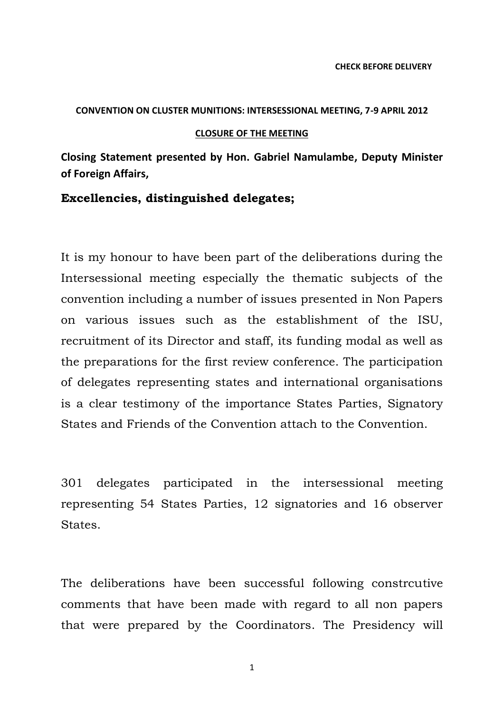### **CONVENTION ON CLUSTER MUNITIONS: INTERSESSIONAL MEETING, 7-9 APRIL 2012**

#### **CLOSURE OF THE MEETING**

**Closing Statement presented by Hon. Gabriel Namulambe, Deputy Minister of Foreign Affairs,**

## **Excellencies, distinguished delegates;**

It is my honour to have been part of the deliberations during the Intersessional meeting especially the thematic subjects of the convention including a number of issues presented in Non Papers on various issues such as the establishment of the ISU, recruitment of its Director and staff, its funding modal as well as the preparations for the first review conference. The participation of delegates representing states and international organisations is a clear testimony of the importance States Parties, Signatory States and Friends of the Convention attach to the Convention.

301 delegates participated in the intersessional meeting representing 54 States Parties, 12 signatories and 16 observer States.

The deliberations have been successful following constrcutive comments that have been made with regard to all non papers that were prepared by the Coordinators. The Presidency will

1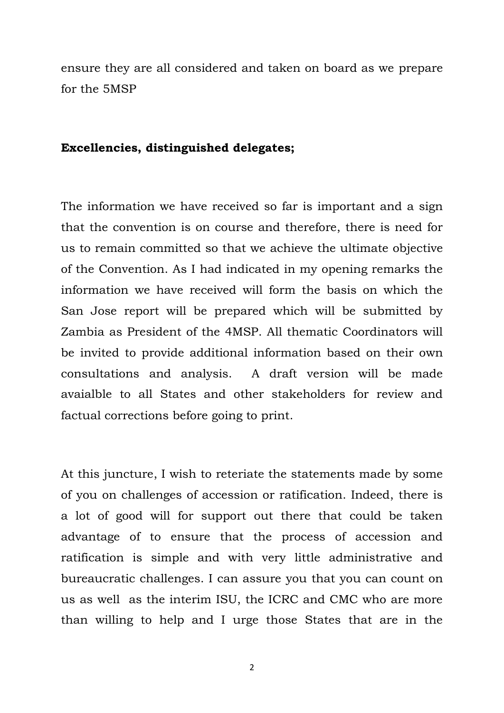ensure they are all considered and taken on board as we prepare for the 5MSP

# **Excellencies, distinguished delegates;**

The information we have received so far is important and a sign that the convention is on course and therefore, there is need for us to remain committed so that we achieve the ultimate objective of the Convention. As I had indicated in my opening remarks the information we have received will form the basis on which the San Jose report will be prepared which will be submitted by Zambia as President of the 4MSP. All thematic Coordinators will be invited to provide additional information based on their own consultations and analysis. A draft version will be made avaialble to all States and other stakeholders for review and factual corrections before going to print.

At this juncture, I wish to reteriate the statements made by some of you on challenges of accession or ratification. Indeed, there is a lot of good will for support out there that could be taken advantage of to ensure that the process of accession and ratification is simple and with very little administrative and bureaucratic challenges. I can assure you that you can count on us as well as the interim ISU, the ICRC and CMC who are more than willing to help and I urge those States that are in the

2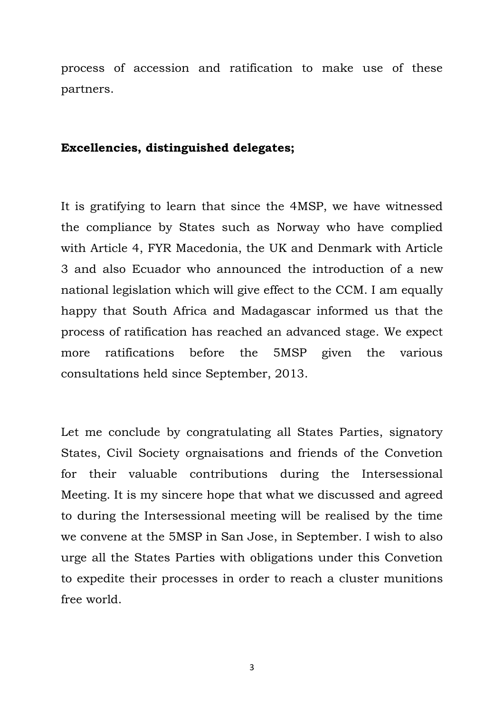process of accession and ratification to make use of these partners.

# **Excellencies, distinguished delegates;**

It is gratifying to learn that since the 4MSP, we have witnessed the compliance by States such as Norway who have complied with Article 4, FYR Macedonia, the UK and Denmark with Article 3 and also Ecuador who announced the introduction of a new national legislation which will give effect to the CCM. I am equally happy that South Africa and Madagascar informed us that the process of ratification has reached an advanced stage. We expect more ratifications before the 5MSP given the various consultations held since September, 2013.

Let me conclude by congratulating all States Parties, signatory States, Civil Society orgnaisations and friends of the Convetion for their valuable contributions during the Intersessional Meeting. It is my sincere hope that what we discussed and agreed to during the Intersessional meeting will be realised by the time we convene at the 5MSP in San Jose, in September. I wish to also urge all the States Parties with obligations under this Convetion to expedite their processes in order to reach a cluster munitions free world.